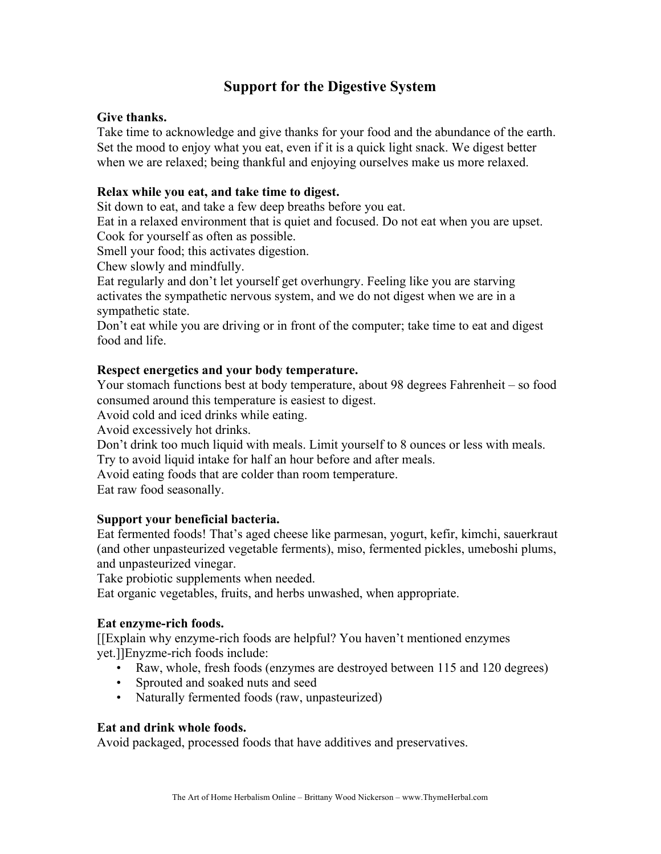# **Support for the Digestive System**

# **Give thanks.**

Take time to acknowledge and give thanks for your food and the abundance of the earth. Set the mood to enjoy what you eat, even if it is a quick light snack. We digest better when we are relaxed; being thankful and enjoying ourselves make us more relaxed.

# **Relax while you eat, and take time to digest.**

Sit down to eat, and take a few deep breaths before you eat.

Eat in a relaxed environment that is quiet and focused. Do not eat when you are upset. Cook for yourself as often as possible.

Smell your food; this activates digestion.

Chew slowly and mindfully.

Eat regularly and don't let yourself get overhungry. Feeling like you are starving activates the sympathetic nervous system, and we do not digest when we are in a sympathetic state.

Don't eat while you are driving or in front of the computer; take time to eat and digest food and life.

# **Respect energetics and your body temperature.**

Your stomach functions best at body temperature, about 98 degrees Fahrenheit – so food consumed around this temperature is easiest to digest.

Avoid cold and iced drinks while eating.

Avoid excessively hot drinks.

Don't drink too much liquid with meals. Limit yourself to 8 ounces or less with meals. Try to avoid liquid intake for half an hour before and after meals.

Avoid eating foods that are colder than room temperature.

Eat raw food seasonally.

# **Support your beneficial bacteria.**

Eat fermented foods! That's aged cheese like parmesan, yogurt, kefir, kimchi, sauerkraut (and other unpasteurized vegetable ferments), miso, fermented pickles, umeboshi plums, and unpasteurized vinegar.

Take probiotic supplements when needed.

Eat organic vegetables, fruits, and herbs unwashed, when appropriate.

# **Eat enzyme-rich foods.**

[[Explain why enzyme-rich foods are helpful? You haven't mentioned enzymes yet.]]Enyzme-rich foods include:

- Raw, whole, fresh foods (enzymes are destroyed between 115 and 120 degrees)
- Sprouted and soaked nuts and seed
- Naturally fermented foods (raw, unpasteurized)

# **Eat and drink whole foods.**

Avoid packaged, processed foods that have additives and preservatives.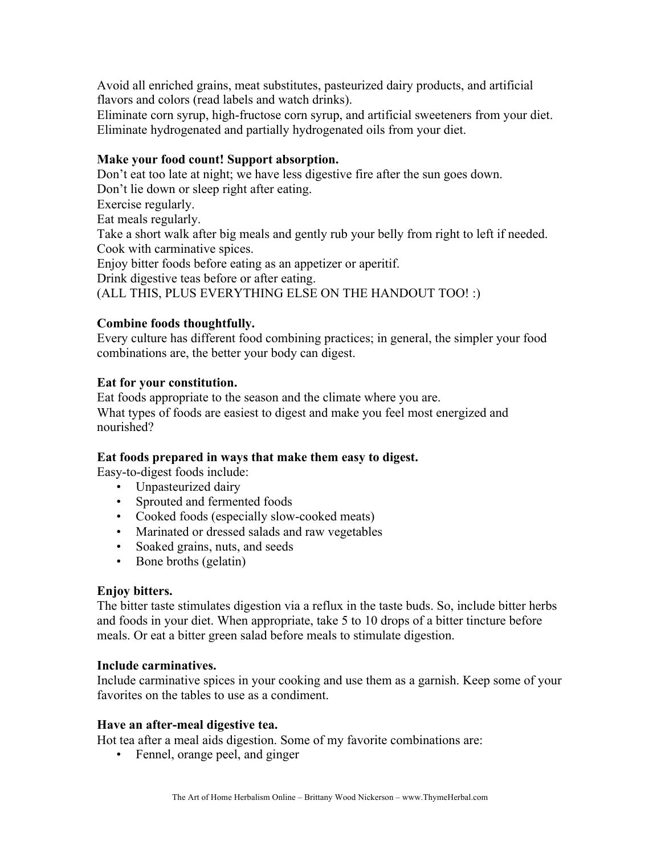Avoid all enriched grains, meat substitutes, pasteurized dairy products, and artificial flavors and colors (read labels and watch drinks).

Eliminate corn syrup, high-fructose corn syrup, and artificial sweeteners from your diet. Eliminate hydrogenated and partially hydrogenated oils from your diet.

# **Make your food count! Support absorption.**

Don't eat too late at night; we have less digestive fire after the sun goes down. Don't lie down or sleep right after eating.

Exercise regularly.

Eat meals regularly.

Take a short walk after big meals and gently rub your belly from right to left if needed. Cook with carminative spices.

Enjoy bitter foods before eating as an appetizer or aperitif.

Drink digestive teas before or after eating.

(ALL THIS, PLUS EVERYTHING ELSE ON THE HANDOUT TOO! :)

# **Combine foods thoughtfully.**

Every culture has different food combining practices; in general, the simpler your food combinations are, the better your body can digest.

# **Eat for your constitution.**

Eat foods appropriate to the season and the climate where you are. What types of foods are easiest to digest and make you feel most energized and nourished?

# **Eat foods prepared in ways that make them easy to digest.**

Easy-to-digest foods include:

- Unpasteurized dairy
- Sprouted and fermented foods
- Cooked foods (especially slow-cooked meats)
- Marinated or dressed salads and raw vegetables
- Soaked grains, nuts, and seeds
- Bone broths (gelatin)

# **Enjoy bitters.**

The bitter taste stimulates digestion via a reflux in the taste buds. So, include bitter herbs and foods in your diet. When appropriate, take 5 to 10 drops of a bitter tincture before meals. Or eat a bitter green salad before meals to stimulate digestion.

# **Include carminatives.**

Include carminative spices in your cooking and use them as a garnish. Keep some of your favorites on the tables to use as a condiment.

# **Have an after-meal digestive tea.**

Hot tea after a meal aids digestion. Some of my favorite combinations are:

• Fennel, orange peel, and ginger